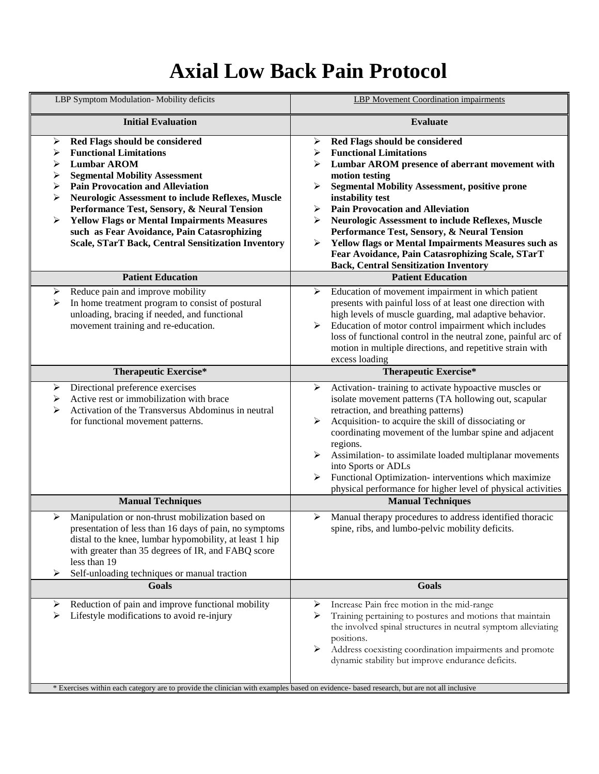## **Axial Low Back Pain Protocol**

| LBP Symptom Modulation-Mobility deficits                                                                                                                                                                                                                                                                                                                                                                                                                                                 | <b>LBP</b> Movement Coordination impairments                                                                                                                                                                                                                                                                                                                                                                                                                                                                                                                        |
|------------------------------------------------------------------------------------------------------------------------------------------------------------------------------------------------------------------------------------------------------------------------------------------------------------------------------------------------------------------------------------------------------------------------------------------------------------------------------------------|---------------------------------------------------------------------------------------------------------------------------------------------------------------------------------------------------------------------------------------------------------------------------------------------------------------------------------------------------------------------------------------------------------------------------------------------------------------------------------------------------------------------------------------------------------------------|
| <b>Initial Evaluation</b>                                                                                                                                                                                                                                                                                                                                                                                                                                                                | <b>Evaluate</b>                                                                                                                                                                                                                                                                                                                                                                                                                                                                                                                                                     |
| Red Flags should be considered<br>➤<br><b>Functional Limitations</b><br>⋗<br><b>Lumbar AROM</b><br>➤<br><b>Segmental Mobility Assessment</b><br>➤<br><b>Pain Provocation and Alleviation</b><br>➤<br><b>Neurologic Assessment to include Reflexes, Muscle</b><br>➤<br>Performance Test, Sensory, & Neural Tension<br><b>Yellow Flags or Mental Impairments Measures</b><br>➤<br>such as Fear Avoidance, Pain Catasrophizing<br><b>Scale, STarT Back, Central Sensitization Inventory</b> | Red Flags should be considered<br>➤<br><b>Functional Limitations</b><br>≻<br>Lumbar AROM presence of aberrant movement with<br>⋗<br>motion testing<br><b>Segmental Mobility Assessment, positive prone</b><br>≻<br>instability test<br><b>Pain Provocation and Alleviation</b><br>➤<br>Neurologic Assessment to include Reflexes, Muscle<br>➤<br>Performance Test, Sensory, & Neural Tension<br><b>Yellow flags or Mental Impairments Measures such as</b><br>➤<br>Fear Avoidance, Pain Catasrophizing Scale, STarT<br><b>Back, Central Sensitization Inventory</b> |
| <b>Patient Education</b>                                                                                                                                                                                                                                                                                                                                                                                                                                                                 | <b>Patient Education</b>                                                                                                                                                                                                                                                                                                                                                                                                                                                                                                                                            |
| Reduce pain and improve mobility<br>➤<br>In home treatment program to consist of postural<br>➤<br>unloading, bracing if needed, and functional<br>movement training and re-education.                                                                                                                                                                                                                                                                                                    | Education of movement impairment in which patient<br>➤<br>presents with painful loss of at least one direction with<br>high levels of muscle guarding, mal adaptive behavior.<br>Education of motor control impairment which includes<br>$\blacktriangleright$<br>loss of functional control in the neutral zone, painful arc of<br>motion in multiple directions, and repetitive strain with<br>excess loading                                                                                                                                                     |
| <b>Therapeutic Exercise*</b>                                                                                                                                                                                                                                                                                                                                                                                                                                                             | <b>Therapeutic Exercise*</b>                                                                                                                                                                                                                                                                                                                                                                                                                                                                                                                                        |
| Directional preference exercises<br>≻<br>Active rest or immobilization with brace<br>➤<br>Activation of the Transversus Abdominus in neutral<br>⋗<br>for functional movement patterns.                                                                                                                                                                                                                                                                                                   | Activation-training to activate hypoactive muscles or<br>➤<br>isolate movement patterns (TA hollowing out, scapular<br>retraction, and breathing patterns)<br>Acquisition- to acquire the skill of dissociating or<br>➤<br>coordinating movement of the lumbar spine and adjacent<br>regions.<br>Assimilation- to assimilate loaded multiplanar movements<br>➤<br>into Sports or ADLs<br>Functional Optimization- interventions which maximize<br>➤<br>physical performance for higher level of physical activities                                                 |
| <b>Manual Techniques</b>                                                                                                                                                                                                                                                                                                                                                                                                                                                                 | <b>Manual Techniques</b>                                                                                                                                                                                                                                                                                                                                                                                                                                                                                                                                            |
| Manipulation or non-thrust mobilization based on<br>≻<br>presentation of less than 16 days of pain, no symptoms<br>distal to the knee, lumbar hypomobility, at least 1 hip<br>with greater than 35 degrees of IR, and FABQ score<br>less than 19<br>Self-unloading techniques or manual traction<br>⋗                                                                                                                                                                                    | Manual therapy procedures to address identified thoracic<br>≻<br>spine, ribs, and lumbo-pelvic mobility deficits.                                                                                                                                                                                                                                                                                                                                                                                                                                                   |
| <b>Goals</b>                                                                                                                                                                                                                                                                                                                                                                                                                                                                             | Goals                                                                                                                                                                                                                                                                                                                                                                                                                                                                                                                                                               |
| Reduction of pain and improve functional mobility<br>➤<br>Lifestyle modifications to avoid re-injury<br>⋗<br>* Exercises within each category are to provide the clinician with examples based on evidence- based research, but are not all inclusive                                                                                                                                                                                                                                    | Increase Pain free motion in the mid-range<br>➤<br>Training pertaining to postures and motions that maintain<br>➤<br>the involved spinal structures in neutral symptom alleviating<br>positions.<br>Address coexisting coordination impairments and promote<br>➤<br>dynamic stability but improve endurance deficits.                                                                                                                                                                                                                                               |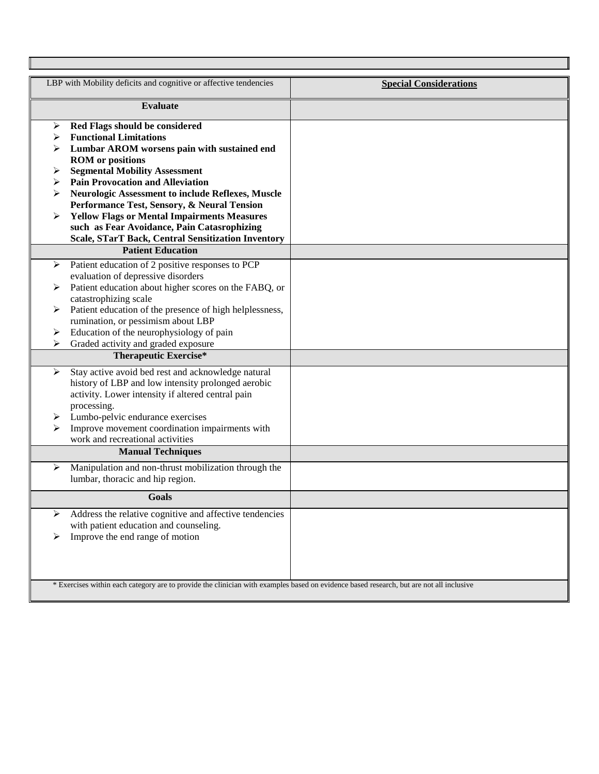| LBP with Mobility deficits and cognitive or affective tendencies                                                                                                                  | <b>Special Considerations</b> |
|-----------------------------------------------------------------------------------------------------------------------------------------------------------------------------------|-------------------------------|
| <b>Evaluate</b>                                                                                                                                                                   |                               |
| Red Flags should be considered<br>➤<br><b>Functional Limitations</b><br>⋗<br>Lumbar AROM worsens pain with sustained end                                                          |                               |
| <b>ROM</b> or positions<br><b>Segmental Mobility Assessment</b><br>➤                                                                                                              |                               |
| <b>Pain Provocation and Alleviation</b><br>➤<br><b>Neurologic Assessment to include Reflexes, Muscle</b><br>⋗<br>Performance Test, Sensory, & Neural Tension                      |                               |
| <b>Yellow Flags or Mental Impairments Measures</b><br>such as Fear Avoidance, Pain Catasrophizing<br>Scale, STarT Back, Central Sensitization Inventory                           |                               |
| <b>Patient Education</b>                                                                                                                                                          |                               |
| Patient education of 2 positive responses to PCP<br>➤<br>evaluation of depressive disorders                                                                                       |                               |
| Patient education about higher scores on the FABQ, or<br>⋗<br>catastrophizing scale                                                                                               |                               |
| Patient education of the presence of high helplessness,<br>≻<br>rumination, or pessimism about LBP<br>Education of the neurophysiology of pain<br>➤                               |                               |
| Graded activity and graded exposure<br>⋗                                                                                                                                          |                               |
| <b>Therapeutic Exercise*</b>                                                                                                                                                      |                               |
| Stay active avoid bed rest and acknowledge natural<br>➤<br>history of LBP and low intensity prolonged aerobic<br>activity. Lower intensity if altered central pain<br>processing. |                               |
| Lumbo-pelvic endurance exercises<br>➤<br>Improve movement coordination impairments with<br>➤                                                                                      |                               |
| work and recreational activities<br><b>Manual Techniques</b>                                                                                                                      |                               |
| Manipulation and non-thrust mobilization through the<br>➤<br>lumbar, thoracic and hip region.                                                                                     |                               |
| <b>Goals</b>                                                                                                                                                                      |                               |
| Address the relative cognitive and affective tendencies<br>⋗<br>with patient education and counseling.<br>Improve the end range of motion<br>➤                                    |                               |
| * Exercises within each category are to provide the clinician with examples based on evidence based research, but are not all inclusive                                           |                               |